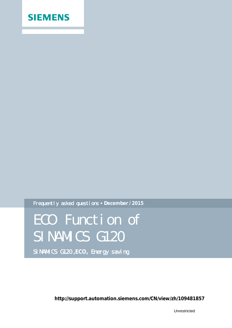

Frequently asked questions **December / 2015**

ECO Function of SINAMICS G120 SINAMICS G120 **,ECO,** Energy saving

**http://support.automation.siemens.com/CN/view/zh/109481857**

Unrestricted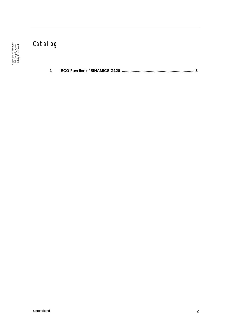# Catalog

**1 ECO** Function of **[SINAMICS G120 ................................................................... 3](#page-2-0)**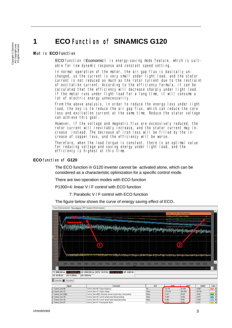## **1 ECO** Function of **SINAMICS G120**

### What is **ECO** function

<span id="page-2-0"></span>ECO function (Economic) is energy-saving mode feature, which is suitable for low dynamic response and constant speed setting.

In normal operation of the motor, the air gap flux is basically unchanged, so the current is very small under light load, and the stator current is not reduced as much as the rotor current due to the restraint of excitation current. According to the efficiency formula, it can be cal culated that the efficiency will decrease sharply under light load. If the motor runs under light load for a long time, it will consume a lot of electric energy unnecessarily.

From the above analysis, in order to reduce the energy loss under light load, the key is to reduce the air gap flux, which can reduce the core loss and excitation current at the same time. Reduce the stator voltage can achieve this goal.

However, if the voltage and magnetic flux are excessively reduced, the rotor current will inevitably increase, and the stator current may increase instead. The decrease of iron loss will be filled by the increase of copper loss, and the efficiency will be worse.

Therefore, when the load torque is constant, there is an optimal value for reducing voltage and saving energy under light load, and the efficiency is highest at this time.

### **ECO** function of **G120**

The ECO function in G120 inverter cannot be activated alone, which can be considered as a characteristic optimization for a specific control mode.

There are two operation modes with ECO function

P1300=4: linear V / F control with ECO function

Control Unit r87: Actual nower factor

7: Parabolic V / F control with ECO function

The figure below shows the curve of energy saving effect of ECO。



Copyright © Siemens<br>AG Copyright year<br>All rights reserved Copyright ã Siemens AG Copyright year All rights reserved

0.013